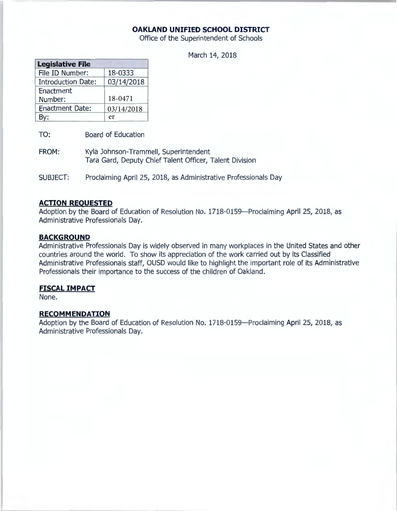## **OAKLAND UNIFIED SCHOOL DISTRICT**

Office of the Superintendent of Schools

March 14, 2018

| <b>Legislative File</b>   |            |
|---------------------------|------------|
| File ID Number:           | 18-0333    |
| <b>Introduction Date:</b> | 03/14/2018 |
| Enactment                 |            |
| Number:                   | 18-0471    |
| <b>Enactment Date:</b>    | 03/14/2018 |
|                           | er         |

TO: Board of Education

- FROM: Kyla Johnson-Trammell, Superintendent Tara Gard, Deputy Chief Talent Officer, Talent Division
- SUBJECT: Proclaiming April 25, 2018, as Administrative Professionals Day

#### **ACTION REQUESTED**

Adoption by the Board of Education of Resolution No. 1718-0159-Proclaiming April 25, 2018, as Administrative Professionals Day.

#### **BACKGROUND**

Administrative Professionals Day is widely observed in many workplaces in the United States and other countries around the world. To show its appreciation of the work carried out by its Classified Administrative Professionals staff, OUSD would like to highlight the important role of its Administrative Professionals their importance to the success of the children of Oakland.

### **FISCAL IMPACT**

None.

#### **RECOMMENDATION**

Adoption by the Board of Education of Resolution No. 1718-0159-Proclaiming April 25, 2018, as Administrative Professionals Day.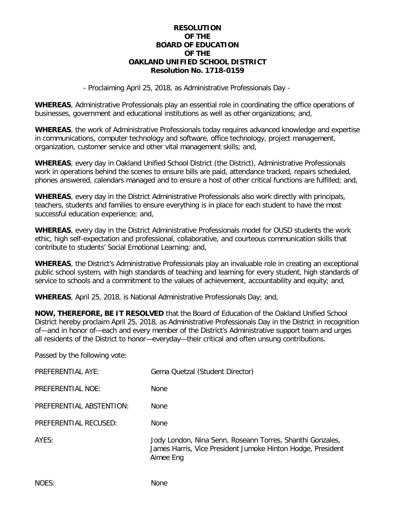## **RESOLUTION OF THE BOARD OF EDUCATION OF THE OAKLAND UNIFIED SCHOOL DISTRICT Resolution No. 1718-0159**

- Proclaiming April 25, 2018, as Administrative Professionals Day -

**WHEREAS**, Administrative Professionals play an essential role in coordinating the office operations of businesses, government and educational institutions as well as other organizations; and,

**WHEREAS**, the work of Administrative Professionals today requires advanced knowledge and expertise in communications, computer technology and software, office technology, project management, organization, customer service and other vital management skills; and,

**WHEREAS**, every day in Oakland Unified School District (the District), Administrative Professionals work in operations behind the scenes to ensure bills are paid, attendance tracked, repairs scheduled, phones answered, calendars managed and to ensure a host of other critical functions are fulfilled; and,

**WHEREAS**, every day in the District Administrative Professionals also work directly with principals, teachers, students and families to ensure everything is in place for each student to have the most successful education experience; and,

**WHEREAS**, every day in the District Administrative Professionals model for OUSD students the work ethic, high self-expectation and professional, collaborative, and courteous communication skills that contribute to students' Social Emotional Learning; and,

**WHEREAS**, the District's Administrative Professionals play an invaluable role in creating an exceptional public school system, with high standards of teaching and learning for every student, high standards of service to schools and a commitment to the values of achievement, accountability and equity; and,

**WHEREAS**, April 25, 2018, is National Administrative Professionals Day; and,

**NOW, THEREFORE, BE IT RESOLVED** that the Board of Education of the Oakland Unified School District hereby proclaim April 25, 2018, as Administrative Professionals Day in the District in recognition of—and in honor of—each and every member of the District's Administrative support team and urges all residents of the District to honor—everyday—their critical and often unsung contributions.

Passed by the following vote:

| PREFERENTIAL AYE:        | Gema Quetzal (Student Director)                                                                                                       |
|--------------------------|---------------------------------------------------------------------------------------------------------------------------------------|
| PREFERENTIAL NOE:        | <b>None</b>                                                                                                                           |
| PREFERENTIAL ABSTENTION: | <b>None</b>                                                                                                                           |
| PREFERENTIAL RECUSED:    | <b>None</b>                                                                                                                           |
| AYES:                    | Jody London, Nina Senn, Roseann Torres, Shanthi Gonzales,<br>James Harris, Vice President Jumoke Hinton Hodge, President<br>Aimee Eng |